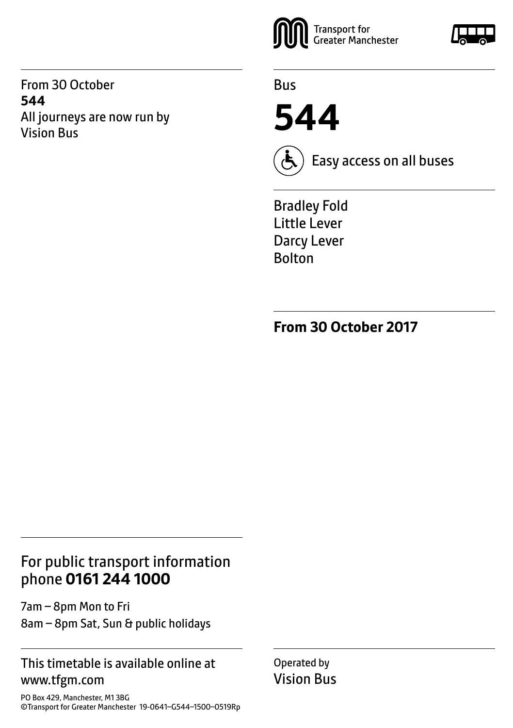From 30 October **544** All journeys are now run by Vision Bus



Bus

**544**



Easy access on all buses

Bradley Fold Little Lever Darcy Lever **Bolton** 

**From 30 October 2017**

### For public transport information phone **0161 244 1000**

7am – 8pm Mon to Fri 8am – 8pm Sat, Sun & public holidays

#### This timetable is available online at www.tfgm.com

PO Box 429, Manchester, M1 3BG ©Transport for Greater Manchester 19-0641–G544–1500–0519Rp Operated by Vision Bus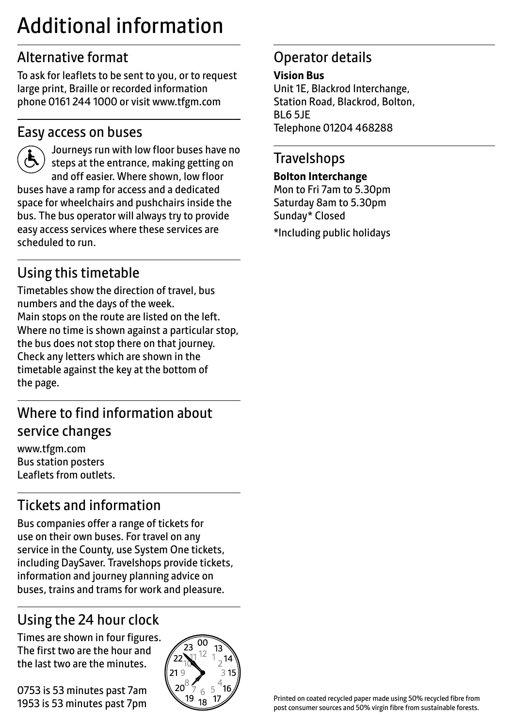# Additional information

### Alternative format

To ask for leaflets to be sent to you, or to request large print, Braille or recorded information phone 0161 244 1000 or visit www.tfgm.com

#### Easy access on buses



 Journeys run with low floor buses have no steps at the entrance, making getting on and off easier. Where shown, low floor buses have a ramp for access and a dedicated space for wheelchairs and pushchairs inside the bus. The bus operator will always try to provide easy access services where these services are scheduled to run.

### Using this timetable

Timetables show the direction of travel, bus numbers and the days of the week. Main stops on the route are listed on the left. Where no time is shown against a particular stop, the bus does not stop there on that journey. Check any letters which are shown in the timetable against the key at the bottom of the page.

### Where to find information about service changes

www.tfgm.com Bus station posters Leaflets from outlets.

## Tickets and information

Bus companies offer a range of tickets for use on their own buses. For travel on any service in the County, use System One tickets, including DaySaver. Travelshops provide tickets, information and journey planning advice on buses, trains and trams for work and pleasure.

# Using the 24 hour clock

Times are shown in four figures. The first two are the hour and the last two are the minutes.

0753 is 53 minutes past 7am 1953 is 53 minutes past 7pm



### Operator details

#### **Vision Bus**

Unit 1E, Blackrod Interchange, Station Road, Blackrod, Bolton, BL6 5JE Telephone 01204 468288

#### **Travelshops**

#### **Bolton Interchange**

Mon to Fri 7am to 5.30pm Saturday 8am to 5.30pm Sunday\* Closed \*Including public holidays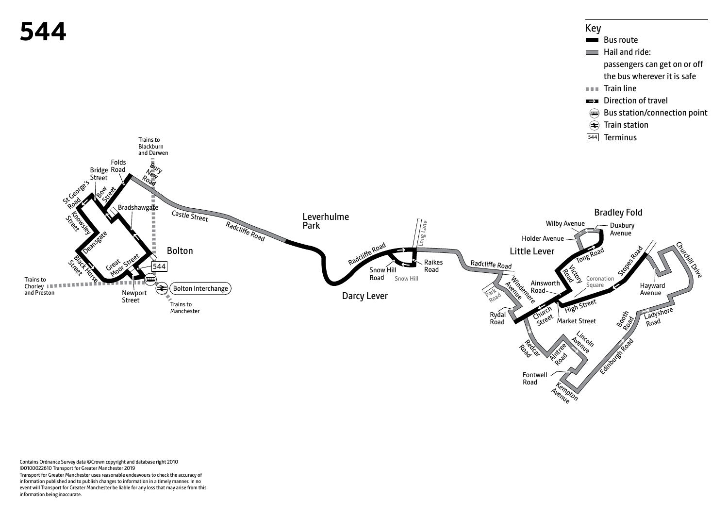

**Industry** 

**Kempton** Avenue

Road<br>Road

Fontwell Road

Contains Ordnance Survey data ©Crown copyright and database right 2010 ©0100022610 Transport for Greater Manchester 2019 Transport for Greater Manchester uses reasonable endeavours to check the accuracy of information published and to publish changes to information in a timely manner. In no event will Transport for Greater Manchester be liable for any loss that may arise from this information being inaccurate.